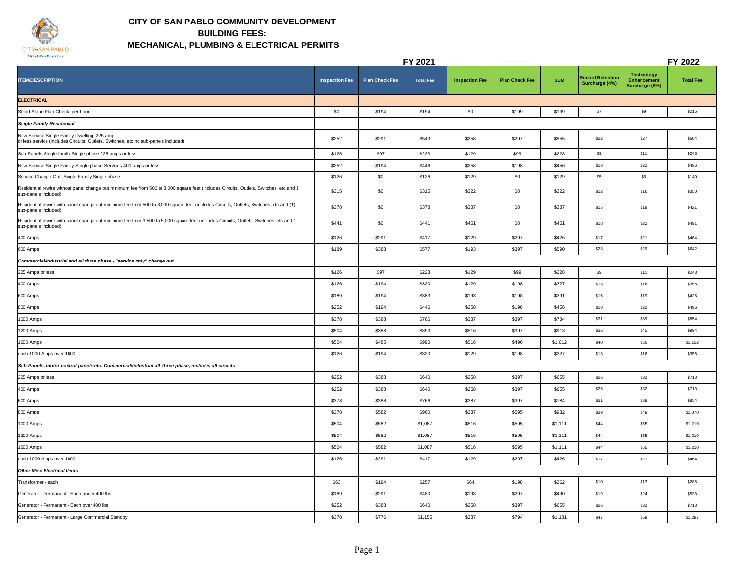

## **CITY OF SAN PABLO COMMUNITY DEVELOPMENT BUILDING FEES: MECHANICAL, PLUMBING & ELECTRICAL PERMITS**

|                                                                                                                                                                |                       |                       | FY 2021          |                       |                       |            |                                           |                                                           | FY 2022          |
|----------------------------------------------------------------------------------------------------------------------------------------------------------------|-----------------------|-----------------------|------------------|-----------------------|-----------------------|------------|-------------------------------------------|-----------------------------------------------------------|------------------|
| <b>ITEM/DESCRIPTION</b>                                                                                                                                        | <b>Inspection Fee</b> | <b>Plan Check Fee</b> | <b>Total Fee</b> | <b>Inspection Fee</b> | <b>Plan Check Fee</b> | <b>SUM</b> | <b>Record Retention</b><br>Surcharge (4%) | <b>Technology</b><br><b>Enhancement</b><br>Surcharge (5%) | <b>Total Fee</b> |
| <b>ELECTRICAL</b>                                                                                                                                              |                       |                       |                  |                       |                       |            |                                           |                                                           |                  |
| Stand Alone Plan Check -per hour                                                                                                                               | \$0                   | \$194                 | \$194            | \$0                   | \$199                 | \$199      | \$7                                       | \$9                                                       | \$215            |
| <b>Single Family Residential</b>                                                                                                                               |                       |                       |                  |                       |                       |            |                                           |                                                           |                  |
| New Service-Single Family Dwelling 225 amp<br>or less service (includes Circuits, Outlets, Switches, etc no sub-panels included)                               | \$252                 | \$291                 | \$543            | \$258                 | \$297                 | \$555      | \$22                                      | \$27                                                      | \$604            |
| Sub-Panels-Single family Single phase 225 amps or less                                                                                                         | \$126                 | \$97                  | \$223            | \$129                 | \$99                  | \$228      | \$9                                       | \$11                                                      | \$248            |
| New Service-Single Family Single phase Services 400 amps or less                                                                                               | \$252                 | \$194                 | \$446            | \$258                 | \$198                 | \$456      | \$18                                      | \$22                                                      | \$496            |
| Service Change-Out -Single Family Single phase                                                                                                                 | \$126                 | \$0                   | \$126            | \$129                 | \$0                   | \$129      | \$5                                       | \$6                                                       | \$140            |
| Residential rewire without panel change out minimum fee from 500 to 3,000 square feet (includes Circuits, Outlets, Switches, etc and 1<br>sub-panels included) | \$315                 | \$0                   | \$315            | \$322                 | \$0                   | \$322      | \$12                                      | \$16                                                      | \$350            |
| Residential rewire with panel change out minimum fee from 500 to 3,000 square feet (includes Circuits, Outlets, Switches, etc and (1)<br>sub-panels included)  | \$378                 | \$0                   | \$378            | \$387                 | \$0                   | \$387      | \$15                                      | \$19                                                      | \$421            |
| Residential rewire with panel change out minimum fee from 3,500 to 5,000 square feet (includes Circuits, Outlets, Switches, etc and 1<br>sub-panels included)  | \$441                 | \$0                   | \$441            | \$451                 | \$0                   | \$451      | \$18                                      | \$22                                                      | \$491            |
| 400 Amps                                                                                                                                                       | \$126                 | \$291                 | \$417            | \$129                 | \$297                 | \$426      | \$17                                      | \$21                                                      | \$464            |
| 600 Amps                                                                                                                                                       | \$189                 | \$388                 | \$577            | \$193                 | \$397                 | \$590      | \$23                                      | \$29                                                      | \$642            |
| Commercial/Industrial and all three phase - "service only" change out                                                                                          |                       |                       |                  |                       |                       |            |                                           |                                                           |                  |
| 225 Amps or less                                                                                                                                               | \$126                 | \$97                  | \$223            | \$129                 | \$99                  | \$228      | \$9                                       | \$11                                                      | \$248            |
| 400 Amps                                                                                                                                                       | \$126                 | \$194                 | \$320            | \$129                 | \$198                 | \$327      | \$13                                      | \$16                                                      | \$356            |
| 600 Amps                                                                                                                                                       | \$189                 | \$194                 | \$383            | \$193                 | \$198                 | \$391      | \$15                                      | \$19                                                      | \$425            |
| 800 Amps                                                                                                                                                       | \$252                 | \$194                 | \$446            | \$258                 | \$198                 | \$456      | \$18                                      | \$22                                                      | \$496            |
| 1000 Amps                                                                                                                                                      | \$378                 | \$388                 | \$766            | \$387                 | \$397                 | \$784      | \$31                                      | \$39                                                      | \$854            |
| 1200 Amps                                                                                                                                                      | \$504                 | \$388                 | \$893            | \$516                 | \$397                 | \$913      | \$36                                      | \$45                                                      | \$994            |
| 1600 Amps                                                                                                                                                      | \$504                 | \$485                 | \$990            | \$516                 | \$496                 | \$1,012    | \$40                                      | \$50                                                      | \$1,102          |
| each 1000 Amps over 1600                                                                                                                                       | \$126                 | \$194                 | \$320            | \$129                 | \$198                 | \$327      | \$13                                      | \$16                                                      | \$356            |
| Sub-Panels, motor control panels etc. Commercial/Industrial all three phase, includes all circuits                                                             |                       |                       |                  |                       |                       |            |                                           |                                                           |                  |
| 225 Amps or less                                                                                                                                               | \$252                 | \$388                 | \$640            | \$258                 | \$397                 | \$655      | \$26                                      | \$32                                                      | \$713            |
| 400 Amps                                                                                                                                                       | \$252                 | \$388                 | \$640            | \$258                 | \$397                 | \$655      | \$26                                      | \$32                                                      | \$713            |
| 600 Amps                                                                                                                                                       | \$378                 | \$388                 | \$766            | \$387                 | \$397                 | \$784      | \$31                                      | \$39                                                      | \$854            |
| 800 Amps                                                                                                                                                       | \$378                 | \$582                 | \$960            | \$387                 | \$595                 | \$982      | \$39                                      | \$49                                                      | \$1,070          |
| 1000 Amps                                                                                                                                                      | \$504                 | \$582                 | \$1,087          | \$516                 | \$595                 | \$1,111    | \$44                                      | \$55                                                      | \$1,210          |
| 1200 Amps                                                                                                                                                      | \$504                 | \$582                 | \$1,087          | \$516                 | \$595                 | \$1,111    | \$44                                      | \$55                                                      | \$1,210          |
| 1600 Amps                                                                                                                                                      | \$504                 | \$582                 | \$1,087          | \$516                 | \$595                 | \$1,111    | \$44                                      | \$55                                                      | \$1,210          |
| each 1000 Amps over 1600                                                                                                                                       | \$126                 | \$291                 | \$417            | \$129                 | \$297                 | \$426      | \$17                                      | \$21                                                      | \$464            |
| <b>Other Misc Electrical Items</b>                                                                                                                             |                       |                       |                  |                       |                       |            |                                           |                                                           |                  |
| Transformer - each                                                                                                                                             | \$63                  | \$194                 | \$257            | \$64                  | \$198                 | \$262      | \$10                                      | \$13                                                      | \$285            |
| Generator - Permanent - Each under 400 lbs                                                                                                                     | \$189                 | \$291                 | \$480            | \$193                 | \$297                 | \$490      | \$19                                      | \$24                                                      | \$533            |
| Generator - Permanent - Each over 400 lbs                                                                                                                      | \$252                 | \$388                 | \$640            | \$258                 | \$397                 | \$655      | \$26                                      | \$32                                                      | \$713            |
| Generator - Permanent - Large Commercial Standby                                                                                                               | \$378                 | \$776                 | \$1,155          | \$387                 | \$794                 | \$1,181    | \$47                                      | \$59                                                      | \$1,287          |
|                                                                                                                                                                |                       |                       |                  |                       |                       |            |                                           |                                                           |                  |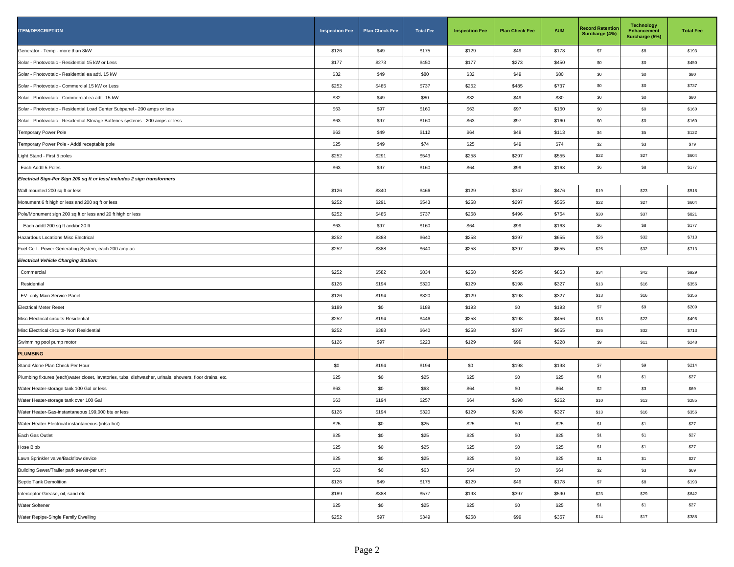| <b>ITEM/DESCRIPTION</b>                                                                                  | <b>Inspection Fee</b> | <b>Plan Check Fee</b> | <b>Total Fee</b> | <b>Inspection Fee</b> | <b>Plan Check Fee</b> | <b>SUM</b> | <b>Record Retention</b><br>Surcharge (4%) | <b>Technology</b><br><b>Enhancement</b><br>Surcharge (5%) | <b>Total Fee</b> |
|----------------------------------------------------------------------------------------------------------|-----------------------|-----------------------|------------------|-----------------------|-----------------------|------------|-------------------------------------------|-----------------------------------------------------------|------------------|
| Generator - Temp - more than 8kW                                                                         | \$126                 | \$49                  | \$175            | \$129                 | \$49                  | \$178      | \$7                                       | \$8                                                       | \$193            |
| Solar - Photovotaic - Residential 15 kW or Less                                                          | \$177                 | \$273                 | \$450            | \$177                 | \$273                 | \$450      | \$0                                       | \$0                                                       | \$450            |
| Solar - Photovotaic - Residential ea adtl. 15 kW                                                         | \$32                  | \$49                  | \$80             | \$32                  | \$49                  | \$80       | \$0                                       | \$0                                                       | \$80             |
| Solar - Photovotaic - Commercial 15 kW or Less                                                           | \$252                 | \$485                 | \$737            | \$252                 | \$485                 | \$737      | \$0                                       | \$0                                                       | \$737            |
| Solar - Photovotaic - Commercial ea adtl. 15 kW                                                          | \$32                  | \$49                  | \$80             | \$32                  | \$49                  | \$80       | \$0                                       | \$0                                                       | \$80             |
| Solar - Photovotaic - Residential Load Center Subpanel - 200 amps or less                                | \$63                  | \$97                  | \$160            | \$63                  | \$97                  | \$160      | \$0                                       | \$0                                                       | \$160            |
| Solar - Photovotaic - Residential Storage Batteries systems - 200 amps or less                           | \$63                  | \$97                  | \$160            | \$63                  | \$97                  | \$160      | \$0                                       | \$0                                                       | \$160            |
| Temporary Power Pole                                                                                     | \$63                  | \$49                  | \$112            | \$64                  | \$49                  | \$113      | \$4                                       | \$5                                                       | \$122            |
| Temporary Power Pole - Addtl receptable pole                                                             | \$25                  | \$49                  | \$74             | \$25                  | \$49                  | \$74       | \$2                                       | \$3                                                       | \$79             |
| Light Stand - First 5 poles                                                                              | \$252                 | \$291                 | \$543            | \$258                 | \$297                 | \$555      | \$22                                      | \$27                                                      | \$604            |
| Each Addtl 5 Poles                                                                                       | \$63                  | \$97                  | \$160            | \$64                  | \$99                  | \$163      | \$6                                       | \$8                                                       | \$177            |
| Electrical Sign-Per Sign 200 sq ft or less/includes 2 sign transformers                                  |                       |                       |                  |                       |                       |            |                                           |                                                           |                  |
| Wall mounted 200 sq ft or less                                                                           | \$126                 | \$340                 | \$466            | \$129                 | \$347                 | \$476      | \$19                                      | \$23                                                      | \$518            |
| Monument 6 ft high or less and 200 sq ft or less                                                         | \$252                 | \$291                 | \$543            | \$258                 | \$297                 | \$555      | \$22                                      | \$27                                                      | \$604            |
| Pole/Monument sign 200 sq ft or less and 20 ft high or less                                              | \$252                 | \$485                 | \$737            | \$258                 | \$496                 | \$754      | \$30                                      | \$37                                                      | \$821            |
| Each addtl 200 sq ft and/or 20 ft                                                                        | \$63                  | \$97                  | \$160            | \$64                  | \$99                  | \$163      | \$6                                       | \$8                                                       | \$177            |
| Hazardous Locations Misc Electrical                                                                      | \$252                 | \$388                 | \$640            | \$258                 | \$397                 | \$655      | \$26                                      | \$32                                                      | \$713            |
| Fuel Cell - Power Generating System, each 200 amp ac                                                     | \$252                 | \$388                 | \$640            | \$258                 | \$397                 | \$655      | \$26                                      | \$32                                                      | \$713            |
| <b>Electrical Vehicle Charging Station:</b>                                                              |                       |                       |                  |                       |                       |            |                                           |                                                           |                  |
| Commercial                                                                                               | \$252                 | \$582                 | \$834            | \$258                 | \$595                 | \$853      | \$34                                      | \$42                                                      | \$929            |
| Residential                                                                                              | \$126                 | \$194                 | \$320            | \$129                 | \$198                 | \$327      | \$13                                      | \$16                                                      | \$356            |
| EV- only Main Service Panel                                                                              | \$126                 | \$194                 | \$320            | \$129                 | \$198                 | \$327      | \$13                                      | \$16                                                      | \$356            |
| <b>Electrical Meter Reset</b>                                                                            | \$189                 | \$0                   | \$189            | \$193                 | \$0                   | \$193      | \$7                                       | \$9                                                       | \$209            |
| Misc Electrical circuits-Residential                                                                     | \$252                 | \$194                 | \$446            | \$258                 | \$198                 | \$456      | \$18                                      | \$22                                                      | \$496            |
| Misc Electrical circuits- Non Residential                                                                | \$252                 | \$388                 | \$640            | \$258                 | \$397                 | \$655      | \$26                                      | \$32                                                      | \$713            |
| Swimming pool pump motor                                                                                 | \$126                 | \$97                  | \$223            | \$129                 | \$99                  | \$228      | \$9                                       | \$11                                                      | \$248            |
| <b>PLUMBING</b>                                                                                          |                       |                       |                  |                       |                       |            |                                           |                                                           |                  |
| Stand Alone Plan Check Per Hour                                                                          | \$0                   | \$194                 | \$194            | \$0                   | \$198                 | \$198      | \$7                                       | \$9                                                       | \$214            |
| Plumbing fixtures (each)water closet, lavatories, tubs, dishwasher, urinals, showers, floor drains, etc. | \$25                  | \$0                   | \$25             | \$25                  | \$0                   | \$25       | \$1                                       | \$1                                                       | \$27             |
| Water Heater-storage tank 100 Gal or less                                                                | \$63                  | \$0                   | \$63             | \$64                  | \$0                   | \$64       | \$2                                       | \$3                                                       | \$69             |
| Water Heater-storage tank over 100 Gal                                                                   | \$63                  | \$194                 | \$257            | \$64                  | \$198                 | \$262      | \$10                                      | \$13                                                      | \$285            |
| Water Heater-Gas-instantaneous 199,000 btu or less                                                       | \$126                 | \$194                 | \$320            | \$129                 | \$198                 | \$327      | \$13                                      | \$16                                                      | \$356            |
| Water Heater-Electrical instantaneous (intsa hot)                                                        | \$25                  | \$0                   | \$25             | \$25                  | \$0                   | \$25       | \$1                                       | \$1                                                       | \$27             |
| Each Gas Outlet                                                                                          | \$25                  | \$0                   | \$25             | \$25                  | \$0                   | \$25       | \$1                                       | \$1                                                       | \$27             |
| Hose Bibb                                                                                                | \$25                  | \$0                   | \$25             | \$25                  | \$0                   | \$25       | \$1                                       | \$1                                                       | \$27             |
| Lawn Sprinkler valve/Backflow device                                                                     | \$25                  | \$0                   | \$25             | \$25                  | \$0                   | \$25       | \$1                                       | \$1                                                       | \$27             |
| Building Sewer/Trailer park sewer-per unit                                                               | \$63                  | \$0                   | \$63             | \$64                  | \$0                   | \$64       | \$2                                       | \$3                                                       | \$69             |
| Septic Tank Demolition                                                                                   | \$126                 | \$49                  | \$175            | \$129                 | \$49                  | \$178      | \$7                                       | \$8                                                       | \$193            |
| Interceptor-Grease, oil, sand etc                                                                        | \$189                 | \$388                 | \$577            | \$193                 | \$397                 | \$590      | \$23                                      | \$29                                                      | \$642            |
| Water Softener                                                                                           | \$25                  | \$0                   | \$25             | \$25                  | \$0                   | \$25       | \$1                                       | \$1                                                       | \$27             |
| Water Repipe-Single Family Dwelling                                                                      | \$252                 | \$97                  | \$349            | \$258                 | \$99                  | \$357      | \$14                                      | \$17                                                      | \$388            |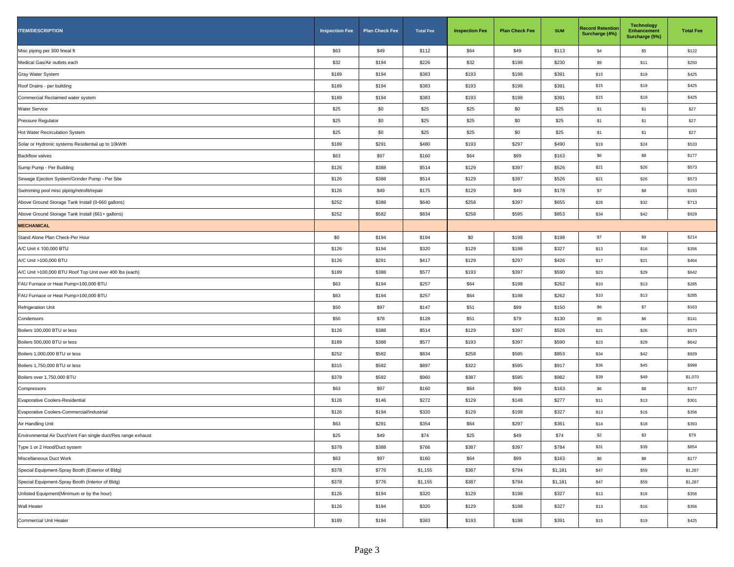| <b>ITEM/DESCRIPTION</b>                                       | <b>Inspection Fee</b> | <b>Plan Check Fee</b> | <b>Total Fee</b> | <b>Inspection Fee</b> | <b>Plan Check Fee</b> | <b>SUM</b> | <b>Record Retention</b><br>Surcharge (4%) | <b>Technology</b><br><b>Enhancement</b><br>Surcharge (5%) | <b>Total Fee</b> |
|---------------------------------------------------------------|-----------------------|-----------------------|------------------|-----------------------|-----------------------|------------|-------------------------------------------|-----------------------------------------------------------|------------------|
| Misc piping per 300 lineal ft                                 | \$63                  | \$49                  | \$112            | \$64                  | \$49                  | \$113      | \$4                                       | \$5                                                       | \$122            |
| Medical Gas/Air outlets each                                  | \$32                  | \$194                 | \$226            | \$32                  | \$198                 | \$230      | \$9                                       | \$11                                                      | \$250            |
| Gray Water System                                             | \$189                 | \$194                 | \$383            | \$193                 | \$198                 | \$391      | \$15                                      | \$19                                                      | \$425            |
| Roof Drains - per building                                    | \$189                 | \$194                 | \$383            | \$193                 | \$198                 | \$391      | \$15                                      | \$19                                                      | \$425            |
| Commercial Reclaimed water system                             | \$189                 | \$194                 | \$383            | \$193                 | \$198                 | \$391      | \$15                                      | \$19                                                      | \$425            |
| <b>Water Service</b>                                          | \$25                  | \$0                   | \$25             | \$25                  | \$0                   | \$25       | \$1                                       | \$1                                                       | \$27             |
| Pressure Regulator                                            | \$25                  | \$0                   | \$25             | \$25                  | \$0                   | \$25       | \$1                                       | \$1                                                       | \$27             |
| Hot Water Recirculation System                                | \$25                  | \$0                   | \$25             | \$25                  | \$0                   | \$25       | \$1                                       | \$1                                                       | \$27             |
| Solar or Hydronic systems Residential up to 10kWth            | \$189                 | \$291                 | \$480            | \$193                 | \$297                 | \$490      | \$19                                      | \$24                                                      | \$533            |
| <b>Backflow valves</b>                                        | \$63                  | \$97                  | \$160            | \$64                  | \$99                  | \$163      | \$6                                       | \$8                                                       | \$177            |
| Sump Pump - Per Building                                      | \$126                 | \$388                 | \$514            | \$129                 | \$397                 | \$526      | \$21                                      | \$26                                                      | \$573            |
| Sewage Ejection System/Grinder Pump - Per Site                | \$126                 | \$388                 | \$514            | \$129                 | \$397                 | \$526      | \$21                                      | \$26                                                      | \$573            |
| Swimming pool misc piping/retrofit/repair                     | \$126                 | \$49                  | \$175            | \$129                 | \$49                  | \$178      | \$7                                       | \$8                                                       | \$193            |
| Above Ground Storage Tank Install (0-660 gallons)             | \$252                 | \$388                 | \$640            | \$258                 | \$397                 | \$655      | \$26                                      | \$32                                                      | \$713            |
| Above Ground Storage Tank Install (661+ gallons)              | \$252                 | \$582                 | \$834            | \$258                 | \$595                 | \$853      | \$34                                      | \$42                                                      | \$929            |
| <b>MECHANICAL</b>                                             |                       |                       |                  |                       |                       |            |                                           |                                                           |                  |
| Stand Alone Plan Check-Per Hour                               | \$0                   | \$194                 | \$194            | \$0                   | \$198                 | \$198      | \$7                                       | \$9                                                       | \$214            |
| A/C Unit ≤ 100,000 BTU                                        | \$126                 | \$194                 | \$320            | \$129                 | \$198                 | \$327      | \$13                                      | \$16                                                      | \$356            |
| A/C Unit >100,000 BTU                                         | \$126                 | \$291                 | \$417            | \$129                 | \$297                 | \$426      | \$17                                      | \$21                                                      | \$464            |
| A/C Unit >100,000 BTU Roof Top Unit over 400 lbs (each)       | \$189                 | \$388                 | \$577            | \$193                 | \$397                 | \$590      | \$23                                      | \$29                                                      | \$642            |
| FAU Furnace or Heat Pump<100,000 BTU                          | \$63                  | \$194                 | \$257            | \$64                  | \$198                 | \$262      | \$10                                      | \$13                                                      | \$285            |
| FAU Furnace or Heat Pump>100,000 BTU                          | \$63                  | \$194                 | \$257            | \$64                  | \$198                 | \$262      | \$10                                      | \$13                                                      | \$285            |
| Refrigeration Unit                                            | \$50                  | \$97                  | \$147            | \$51                  | \$99                  | \$150      | \$6                                       | \$7                                                       | \$163            |
| Condensors                                                    | \$50                  | \$78                  | \$128            | \$51                  | \$79                  | \$130      | \$5                                       | \$6                                                       | \$141            |
| Boilers 100,000 BTU or less                                   | \$126                 | \$388                 | \$514            | \$129                 | \$397                 | \$526      | \$21                                      | \$26                                                      | \$573            |
| Boilers 500,000 BTU or less                                   | \$189                 | \$388                 | \$577            | \$193                 | \$397                 | \$590      | \$23                                      | \$29                                                      | \$642            |
| Boilers 1,000,000 BTU or less                                 | \$252                 | \$582                 | \$834            | \$258                 | \$595                 | \$853      | \$34                                      | \$42                                                      | \$929            |
| Boilers 1,750,000 BTU or less                                 | \$315                 | \$582                 | \$897            | \$322                 | \$595                 | \$917      | \$36                                      | \$45                                                      | \$998            |
| Boilers over 1,750,000 BTU                                    | \$378                 | \$582                 | \$960            | \$387                 | \$595                 | \$982      | \$39                                      | \$49                                                      | \$1,070          |
| Compressors                                                   | \$63                  | \$97                  | \$160            | \$64                  | \$99                  | \$163      | \$6                                       | \$8                                                       | \$177            |
| Evaporative Coolers-Residential                               | \$126                 | \$146                 | \$272            | \$129                 | \$148                 | \$277      | \$11                                      | \$13                                                      | \$301            |
| Evaporative Coolers-Commercial/Industrial                     | \$126                 | \$194                 | \$320            | \$129                 | \$198                 | \$327      | \$13                                      | \$16                                                      | \$356            |
| Air Handling Unit                                             | \$63                  | \$291                 | \$354            | \$64                  | \$297                 | \$361      | \$14                                      | \$18                                                      | \$393            |
| Environmental Air Duct/Vent Fan single duct/Res range exhaust | \$25                  | \$49                  | \$74             | \$25                  | \$49                  | \$74       | \$2                                       | \$3                                                       | \$79             |
| Type 1 or 2 Hood/Duct system                                  | \$378                 | \$388                 | \$766            | \$387                 | \$397                 | \$784      | \$31                                      | \$39                                                      | \$854            |
| Miscellaneous Duct Work                                       | \$63                  | \$97                  | \$160            | \$64                  | \$99                  | \$163      | \$6                                       | \$8                                                       | \$177            |
| Special Equipment-Spray Booth (Exterior of Bldg)              | \$378                 | \$776                 | \$1,155          | \$387                 | \$794                 | \$1,181    | \$47                                      | \$59                                                      | \$1,287          |
| Special Equipment-Spray Booth (Interior of Bldg)              | \$378                 | \$776                 | \$1,155          | \$387                 | \$794                 | \$1,181    | \$47                                      | \$59                                                      | \$1,287          |
| Unlisted Equipment(Minimum or by the hour)                    | \$126                 | \$194                 | \$320            | \$129                 | \$198                 | \$327      | \$13                                      | \$16                                                      | \$356            |
| Wall Heater                                                   | \$126                 | \$194                 | \$320            | \$129                 | \$198                 | \$327      | \$13                                      | \$16                                                      | \$356            |
| Commercial Unit Heater                                        | \$189                 | \$194                 | \$383            | \$193                 | \$198                 | \$391      | \$15                                      | \$19                                                      | \$425            |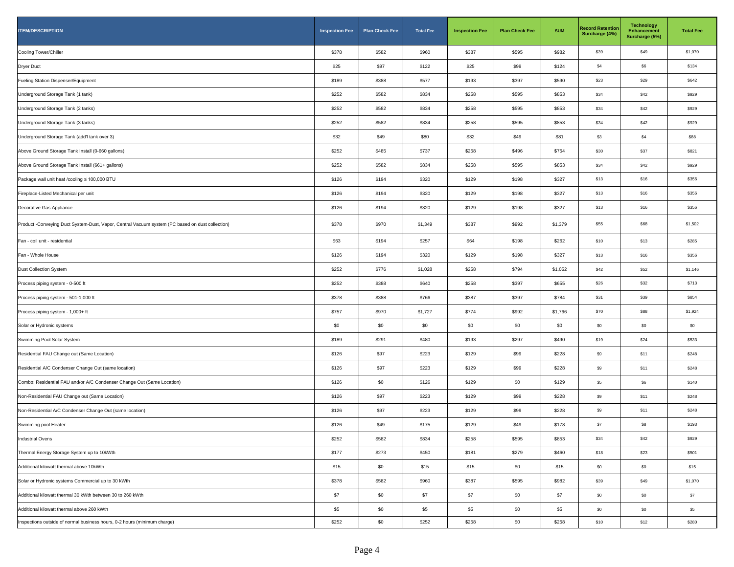| <b>ITEM/DESCRIPTION</b>                                                                         | <b>Inspection Fee</b> | <b>Plan Check Fee</b> | <b>Total Fee</b> | <b>Inspection Fee</b> | <b>Plan Check Fee</b> | <b>SUM</b> | <b>Record Retention</b><br>Surcharge (4%) | <b>Technology</b><br><b>Enhancement</b><br>Surcharge (5%) | <b>Total Fee</b> |
|-------------------------------------------------------------------------------------------------|-----------------------|-----------------------|------------------|-----------------------|-----------------------|------------|-------------------------------------------|-----------------------------------------------------------|------------------|
| Cooling Tower/Chiller                                                                           | \$378                 | \$582                 | \$960            | \$387                 | \$595                 | \$982      | \$39                                      | \$49                                                      | \$1,070          |
| <b>Dryer Duct</b>                                                                               | \$25                  | \$97                  | \$122            | \$25                  | \$99                  | \$124      | \$4                                       | \$6                                                       | \$134            |
| Fueling Station Dispenser/Equipment                                                             | \$189                 | \$388                 | \$577            | \$193                 | \$397                 | \$590      | \$23                                      | \$29                                                      | \$642            |
| Underground Storage Tank (1 tank)                                                               | \$252                 | \$582                 | \$834            | \$258                 | \$595                 | \$853      | \$34                                      | \$42                                                      | \$929            |
| Underground Storage Tank (2 tanks)                                                              | \$252                 | \$582                 | \$834            | \$258                 | \$595                 | \$853      | \$34                                      | \$42                                                      | \$929            |
| Underground Storage Tank (3 tanks)                                                              | \$252                 | \$582                 | \$834            | \$258                 | \$595                 | \$853      | \$34                                      | \$42                                                      | \$929            |
| Underground Storage Tank (add'I tank over 3)                                                    | \$32                  | \$49                  | \$80             | \$32                  | \$49                  | \$81       | \$3                                       | \$4                                                       | \$88             |
| Above Ground Storage Tank Install (0-660 gallons)                                               | \$252                 | \$485                 | \$737            | \$258                 | \$496                 | \$754      | \$30                                      | \$37                                                      | \$821            |
| Above Ground Storage Tank Install (661+ gallons)                                                | \$252                 | \$582                 | \$834            | \$258                 | \$595                 | \$853      | \$34                                      | \$42                                                      | \$929            |
| Package wall unit heat /cooling ≤ 100,000 BTU                                                   | \$126                 | \$194                 | \$320            | \$129                 | \$198                 | \$327      | \$13                                      | \$16                                                      | \$356            |
| Fireplace-Listed Mechanical per unit                                                            | \$126                 | \$194                 | \$320            | \$129                 | \$198                 | \$327      | \$13                                      | \$16                                                      | \$356            |
| Decorative Gas Appliance                                                                        | \$126                 | \$194                 | \$320            | \$129                 | \$198                 | \$327      | \$13                                      | \$16                                                      | \$356            |
| Product -Conveying Duct System-Dust, Vapor, Central Vacuum system (PC based on dust collection) | \$378                 | \$970                 | \$1,349          | \$387                 | \$992                 | \$1,379    | \$55                                      | \$68                                                      | \$1,502          |
| Fan - coil unit - residential                                                                   | \$63                  | \$194                 | \$257            | \$64                  | \$198                 | \$262      | \$10                                      | \$13                                                      | \$285            |
| Fan - Whole House                                                                               | \$126                 | \$194                 | \$320            | \$129                 | \$198                 | \$327      | \$13                                      | \$16                                                      | \$356            |
| Dust Collection System                                                                          | \$252                 | \$776                 | \$1,028          | \$258                 | \$794                 | \$1,052    | \$42                                      | \$52                                                      | \$1,146          |
| Process piping system - 0-500 ft                                                                | \$252                 | \$388                 | \$640            | \$258                 | \$397                 | \$655      | \$26                                      | \$32                                                      | \$713            |
| Process piping system - 501-1,000 ft                                                            | \$378                 | \$388                 | \$766            | \$387                 | \$397                 | \$784      | \$31                                      | \$39                                                      | \$854            |
| Process piping system - 1,000+ ft                                                               | \$757                 | \$970                 | \$1,727          | \$774                 | \$992                 | \$1,766    | \$70                                      | \$88                                                      | \$1,924          |
| Solar or Hydronic systems                                                                       | \$0                   | \$0                   | \$0              | \$0                   | \$0                   | \$0        | \$0                                       | \$0                                                       | \$0              |
| Swimming Pool Solar System                                                                      | \$189                 | \$291                 | \$480            | \$193                 | \$297                 | \$490      | \$19                                      | \$24                                                      | \$533            |
| Residential FAU Change out (Same Location)                                                      | \$126                 | \$97                  | \$223            | \$129                 | \$99                  | \$228      | \$9                                       | \$11                                                      | \$248            |
| Residential A/C Condenser Change Out (same location)                                            | \$126                 | \$97                  | \$223            | \$129                 | \$99                  | \$228      | \$9                                       | \$11                                                      | \$248            |
| Combo: Residential FAU and/or A/C Condenser Change Out (Same Location)                          | \$126                 | \$0                   | \$126            | \$129                 | \$0                   | \$129      | \$5                                       | \$6                                                       | \$140            |
| Non-Residential FAU Change out (Same Location)                                                  | \$126                 | \$97                  | \$223            | \$129                 | \$99                  | \$228      | \$9                                       | \$11                                                      | \$248            |
| Non-Residential A/C Condenser Change Out (same location)                                        | \$126                 | \$97                  | \$223            | \$129                 | \$99                  | \$228      | \$9                                       | \$11                                                      | \$248            |
| Swimming pool Heater                                                                            | \$126                 | \$49                  | \$175            | \$129                 | \$49                  | \$178      | \$7                                       | \$8                                                       | \$193            |
| Industrial Ovens                                                                                | \$252                 | \$582                 | \$834            | \$258                 | \$595                 | \$853      | \$34                                      | \$42                                                      | \$929            |
| Thermal Energy Storage System up to 10kWth                                                      | \$177                 | \$273                 | \$450            | \$181                 | \$279                 | \$460      | \$18                                      | \$23                                                      | \$501            |
| Additional kilowatt thermal above 10kWth                                                        | \$15                  | \$0                   | \$15             | \$15                  | \$0                   | \$15       | \$0                                       | \$0                                                       | \$15             |
| Solar or Hydronic systems Commercial up to 30 kWth                                              | \$378                 | \$582                 | \$960            | \$387                 | \$595                 | \$982      | \$39                                      | \$49                                                      | \$1,070          |
| Additional kilowatt thermal 30 kWth between 30 to 260 kWth                                      | \$7                   | \$0                   | \$7              | \$7                   | \$0                   | \$7        | \$0                                       | \$0                                                       | \$7              |
| Additional kilowatt thermal above 260 kWth                                                      | \$5                   | \$0                   | \$5              | \$5                   | \$0                   | \$5        | \$0                                       | \$0                                                       | \$5              |
| Inspections outside of normal business hours, 0-2 hours (minimum charge)                        | \$252                 | \$0                   | \$252            | \$258                 | \$0                   | \$258      | \$10                                      | \$12                                                      | \$280            |